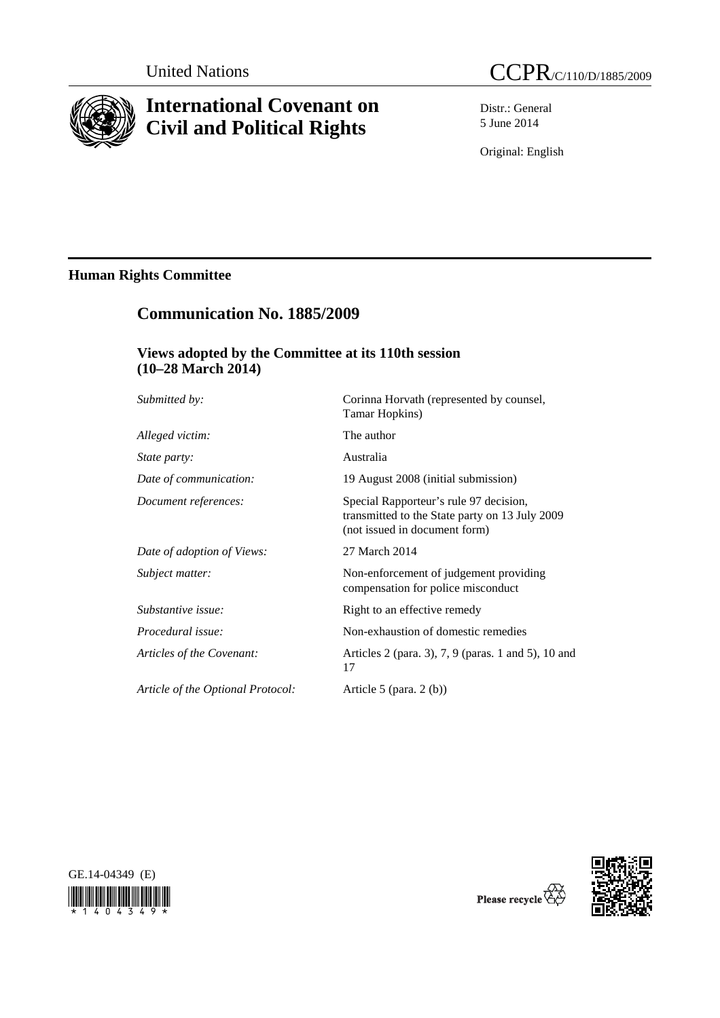

# **International Covenant on Civil and Political Rights**

Distr.: General 5 June 2014

Original: English

# **Human Rights Committee**

# **Communication No. 1885/2009**

## **Views adopted by the Committee at its 110th session (10–28 March 2014)**

| Submitted by:                     | Corinna Horvath (represented by counsel,<br>Tamar Hopkins)                                                                |
|-----------------------------------|---------------------------------------------------------------------------------------------------------------------------|
| Alleged victim:                   | The author                                                                                                                |
| <i>State party:</i>               | Australia                                                                                                                 |
| Date of communication:            | 19 August 2008 (initial submission)                                                                                       |
| Document references:              | Special Rapporteur's rule 97 decision,<br>transmitted to the State party on 13 July 2009<br>(not issued in document form) |
| Date of adoption of Views:        | 27 March 2014                                                                                                             |
| Subject matter:                   | Non-enforcement of judgement providing<br>compensation for police misconduct                                              |
| Substantive issue:                | Right to an effective remedy                                                                                              |
| Procedural issue:                 | Non-exhaustion of domestic remedies                                                                                       |
| Articles of the Covenant:         | Articles 2 (para. 3), 7, 9 (paras. 1 and 5), 10 and<br>17                                                                 |
| Article of the Optional Protocol: | Article 5 (para. $2(b)$ )                                                                                                 |
|                                   |                                                                                                                           |





Q<br>Please recycle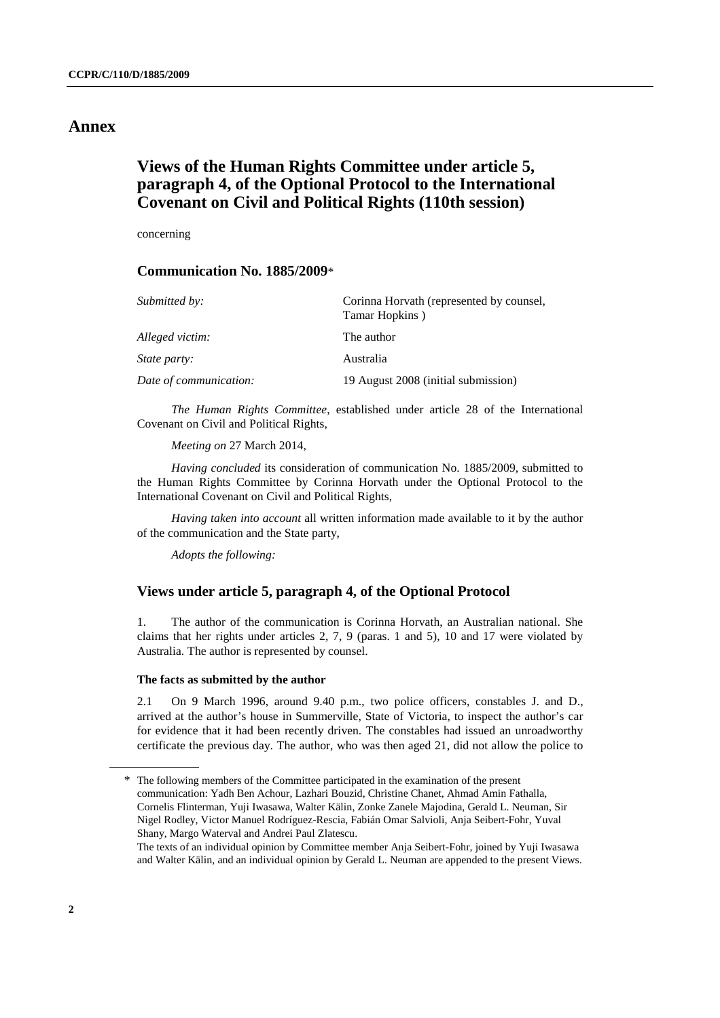## **Annex**

## **Views of the Human Rights Committee under article 5, paragraph 4, of the Optional Protocol to the International Covenant on Civil and Political Rights (110th session)**

concerning

#### **Communication No. 1885/2009**\*

| Submitted by:          | Corinna Horvath (represented by counsel,<br>Tamar Hopkins) |
|------------------------|------------------------------------------------------------|
| Alleged victim:        | The author                                                 |
| <i>State party:</i>    | Australia                                                  |
| Date of communication: | 19 August 2008 (initial submission)                        |

*The Human Rights Committee*, established under article 28 of the International Covenant on Civil and Political Rights,

*Meeting on* 27 March 2014,

*Having concluded* its consideration of communication No. 1885/2009, submitted to the Human Rights Committee by Corinna Horvath under the Optional Protocol to the International Covenant on Civil and Political Rights,

*Having taken into account* all written information made available to it by the author of the communication and the State party,

*Adopts the following:* 

### **Views under article 5, paragraph 4, of the Optional Protocol**

1. The author of the communication is Corinna Horvath, an Australian national. She claims that her rights under articles 2, 7, 9 (paras. 1 and 5), 10 and 17 were violated by Australia. The author is represented by counsel.

#### **The facts as submitted by the author**

2.1 On 9 March 1996, around 9.40 p.m., two police officers, constables J. and D., arrived at the author's house in Summerville, State of Victoria, to inspect the author's car for evidence that it had been recently driven. The constables had issued an unroadworthy certificate the previous day. The author, who was then aged 21, did not allow the police to

 <sup>\*</sup> The following members of the Committee participated in the examination of the present communication: Yadh Ben Achour, Lazhari Bouzid, Christine Chanet, Ahmad Amin Fathalla, Cornelis Flinterman, Yuji Iwasawa, Walter Kälin, Zonke Zanele Majodina, Gerald L. Neuman, Sir Nigel Rodley, Victor Manuel Rodríguez-Rescia, Fabián Omar Salvioli, Anja Seibert-Fohr, Yuval Shany, Margo Waterval and Andrei Paul Zlatescu.

The texts of an individual opinion by Committee member Anja Seibert-Fohr, joined by Yuji Iwasawa and Walter Kälin, and an individual opinion by Gerald L. Neuman are appended to the present Views.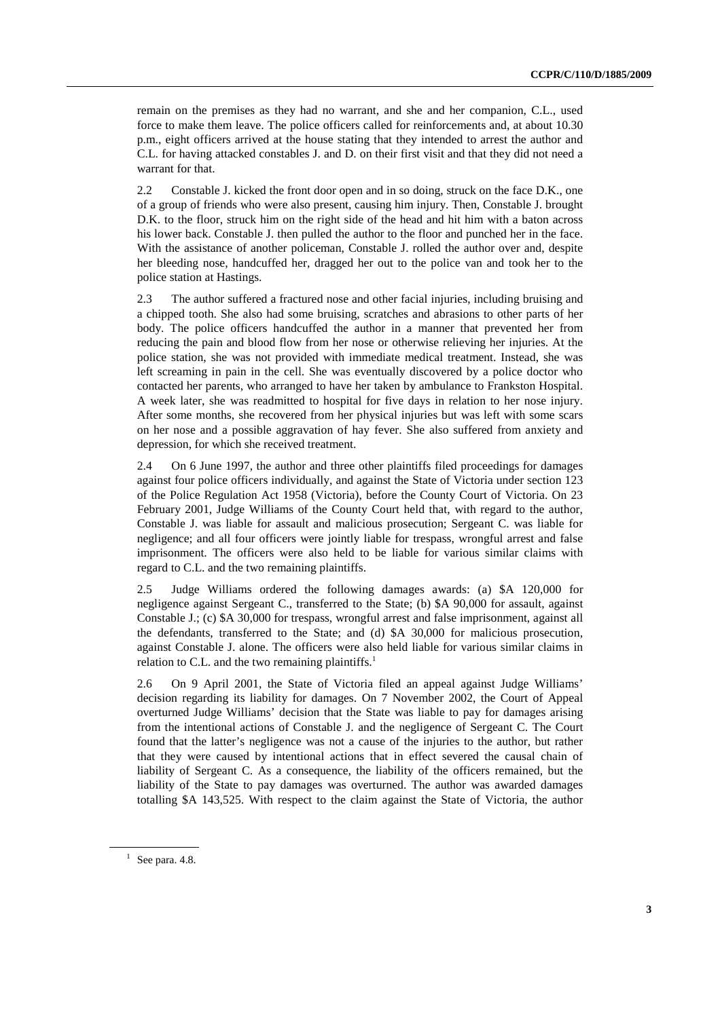remain on the premises as they had no warrant, and she and her companion, C.L., used force to make them leave. The police officers called for reinforcements and, at about 10.30 p.m., eight officers arrived at the house stating that they intended to arrest the author and C.L. for having attacked constables J. and D. on their first visit and that they did not need a warrant for that.

2.2 Constable J. kicked the front door open and in so doing, struck on the face D.K., one of a group of friends who were also present, causing him injury. Then, Constable J. brought D.K. to the floor, struck him on the right side of the head and hit him with a baton across his lower back. Constable J. then pulled the author to the floor and punched her in the face. With the assistance of another policeman, Constable J, rolled the author over and, despite her bleeding nose, handcuffed her, dragged her out to the police van and took her to the police station at Hastings.

2.3 The author suffered a fractured nose and other facial injuries, including bruising and a chipped tooth. She also had some bruising, scratches and abrasions to other parts of her body. The police officers handcuffed the author in a manner that prevented her from reducing the pain and blood flow from her nose or otherwise relieving her injuries. At the police station, she was not provided with immediate medical treatment. Instead, she was left screaming in pain in the cell. She was eventually discovered by a police doctor who contacted her parents, who arranged to have her taken by ambulance to Frankston Hospital. A week later, she was readmitted to hospital for five days in relation to her nose injury. After some months, she recovered from her physical injuries but was left with some scars on her nose and a possible aggravation of hay fever. She also suffered from anxiety and depression, for which she received treatment.

2.4 On 6 June 1997, the author and three other plaintiffs filed proceedings for damages against four police officers individually, and against the State of Victoria under section 123 of the Police Regulation Act 1958 (Victoria), before the County Court of Victoria. On 23 February 2001, Judge Williams of the County Court held that, with regard to the author, Constable J. was liable for assault and malicious prosecution; Sergeant C. was liable for negligence; and all four officers were jointly liable for trespass, wrongful arrest and false imprisonment. The officers were also held to be liable for various similar claims with regard to C.L. and the two remaining plaintiffs.

2.5 Judge Williams ordered the following damages awards: (a) \$A 120,000 for negligence against Sergeant C., transferred to the State; (b) \$A 90,000 for assault, against Constable J.; (c) \$A 30,000 for trespass, wrongful arrest and false imprisonment, against all the defendants, transferred to the State; and (d) \$A 30,000 for malicious prosecution, against Constable J. alone. The officers were also held liable for various similar claims in relation to C.L. and the two remaining plaintiffs.<sup>1</sup>

2.6 On 9 April 2001, the State of Victoria filed an appeal against Judge Williams' decision regarding its liability for damages. On 7 November 2002, the Court of Appeal overturned Judge Williams' decision that the State was liable to pay for damages arising from the intentional actions of Constable J. and the negligence of Sergeant C. The Court found that the latter's negligence was not a cause of the injuries to the author, but rather that they were caused by intentional actions that in effect severed the causal chain of liability of Sergeant C. As a consequence, the liability of the officers remained, but the liability of the State to pay damages was overturned. The author was awarded damages totalling \$A 143,525. With respect to the claim against the State of Victoria, the author

 $<sup>1</sup>$  See para. 4.8.</sup>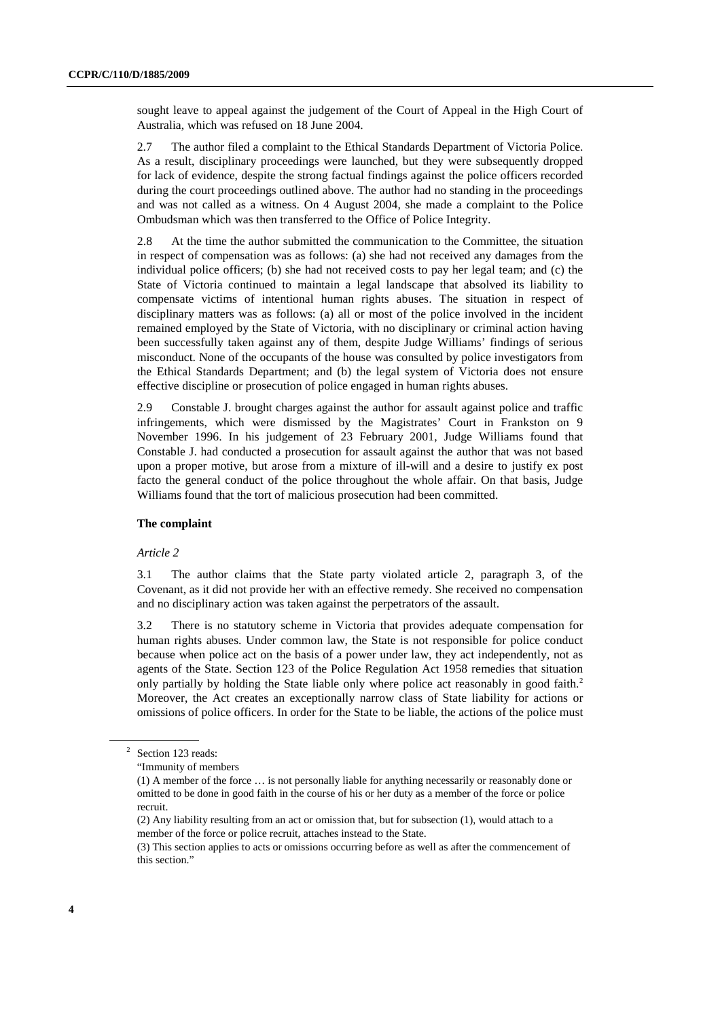sought leave to appeal against the judgement of the Court of Appeal in the High Court of Australia, which was refused on 18 June 2004.

2.7 The author filed a complaint to the Ethical Standards Department of Victoria Police. As a result, disciplinary proceedings were launched, but they were subsequently dropped for lack of evidence, despite the strong factual findings against the police officers recorded during the court proceedings outlined above. The author had no standing in the proceedings and was not called as a witness. On 4 August 2004, she made a complaint to the Police Ombudsman which was then transferred to the Office of Police Integrity.

2.8 At the time the author submitted the communication to the Committee, the situation in respect of compensation was as follows: (a) she had not received any damages from the individual police officers; (b) she had not received costs to pay her legal team; and (c) the State of Victoria continued to maintain a legal landscape that absolved its liability to compensate victims of intentional human rights abuses. The situation in respect of disciplinary matters was as follows: (a) all or most of the police involved in the incident remained employed by the State of Victoria, with no disciplinary or criminal action having been successfully taken against any of them, despite Judge Williams' findings of serious misconduct. None of the occupants of the house was consulted by police investigators from the Ethical Standards Department; and (b) the legal system of Victoria does not ensure effective discipline or prosecution of police engaged in human rights abuses.

2.9 Constable J. brought charges against the author for assault against police and traffic infringements, which were dismissed by the Magistrates' Court in Frankston on 9 November 1996. In his judgement of 23 February 2001, Judge Williams found that Constable J. had conducted a prosecution for assault against the author that was not based upon a proper motive, but arose from a mixture of ill-will and a desire to justify ex post facto the general conduct of the police throughout the whole affair. On that basis, Judge Williams found that the tort of malicious prosecution had been committed.

#### **The complaint**

#### *Article 2*

3.1 The author claims that the State party violated article 2, paragraph 3, of the Covenant, as it did not provide her with an effective remedy. She received no compensation and no disciplinary action was taken against the perpetrators of the assault.

3.2 There is no statutory scheme in Victoria that provides adequate compensation for human rights abuses. Under common law, the State is not responsible for police conduct because when police act on the basis of a power under law, they act independently, not as agents of the State. Section 123 of the Police Regulation Act 1958 remedies that situation only partially by holding the State liable only where police act reasonably in good faith.<sup>2</sup> Moreover, the Act creates an exceptionally narrow class of State liability for actions or omissions of police officers. In order for the State to be liable, the actions of the police must

<sup>2</sup> Section 123 reads:

 <sup>&</sup>quot;Immunity of members

 <sup>(1)</sup> A member of the force … is not personally liable for anything necessarily or reasonably done or omitted to be done in good faith in the course of his or her duty as a member of the force or police recruit.

 <sup>(2)</sup> Any liability resulting from an act or omission that, but for subsection (1), would attach to a member of the force or police recruit, attaches instead to the State.

 <sup>(3)</sup> This section applies to acts or omissions occurring before as well as after the commencement of this section."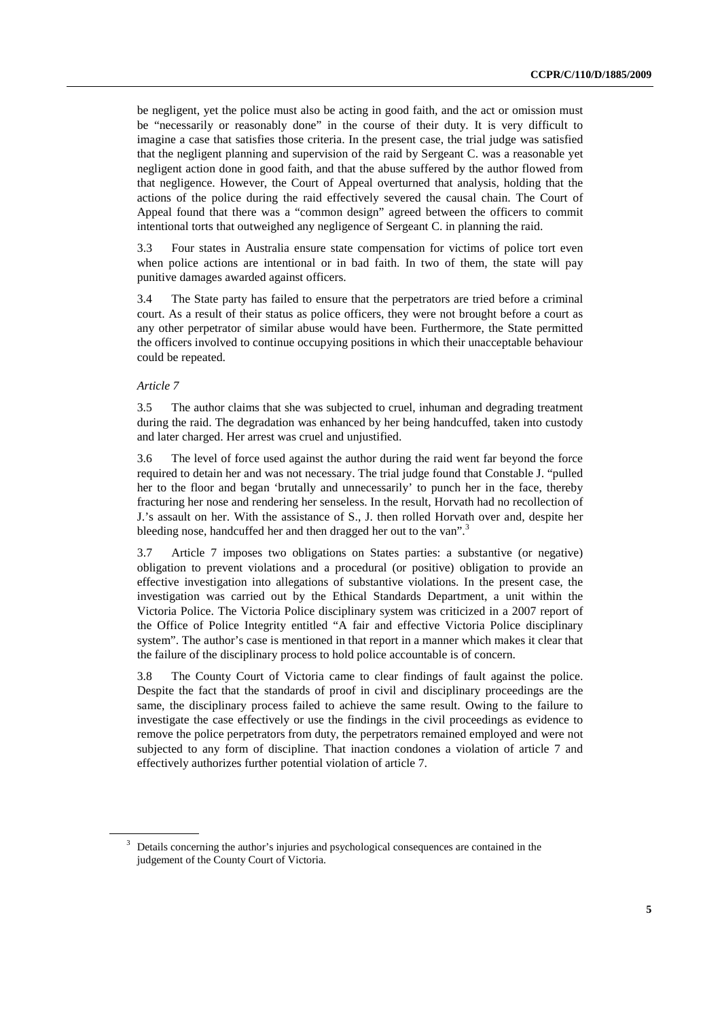be negligent, yet the police must also be acting in good faith, and the act or omission must be "necessarily or reasonably done" in the course of their duty. It is very difficult to imagine a case that satisfies those criteria. In the present case, the trial judge was satisfied that the negligent planning and supervision of the raid by Sergeant C. was a reasonable yet negligent action done in good faith, and that the abuse suffered by the author flowed from that negligence. However, the Court of Appeal overturned that analysis, holding that the actions of the police during the raid effectively severed the causal chain. The Court of Appeal found that there was a "common design" agreed between the officers to commit intentional torts that outweighed any negligence of Sergeant C. in planning the raid.

3.3 Four states in Australia ensure state compensation for victims of police tort even when police actions are intentional or in bad faith. In two of them, the state will pay punitive damages awarded against officers.

3.4 The State party has failed to ensure that the perpetrators are tried before a criminal court. As a result of their status as police officers, they were not brought before a court as any other perpetrator of similar abuse would have been. Furthermore, the State permitted the officers involved to continue occupying positions in which their unacceptable behaviour could be repeated.

#### *Article 7*

3.5 The author claims that she was subjected to cruel, inhuman and degrading treatment during the raid. The degradation was enhanced by her being handcuffed, taken into custody and later charged. Her arrest was cruel and unjustified.

3.6 The level of force used against the author during the raid went far beyond the force required to detain her and was not necessary. The trial judge found that Constable J. "pulled her to the floor and began 'brutally and unnecessarily' to punch her in the face, thereby fracturing her nose and rendering her senseless. In the result, Horvath had no recollection of J.'s assault on her. With the assistance of S., J. then rolled Horvath over and, despite her bleeding nose, handcuffed her and then dragged her out to the van".<sup>3</sup>

3.7 Article 7 imposes two obligations on States parties: a substantive (or negative) obligation to prevent violations and a procedural (or positive) obligation to provide an effective investigation into allegations of substantive violations. In the present case, the investigation was carried out by the Ethical Standards Department, a unit within the Victoria Police. The Victoria Police disciplinary system was criticized in a 2007 report of the Office of Police Integrity entitled "A fair and effective Victoria Police disciplinary system". The author's case is mentioned in that report in a manner which makes it clear that the failure of the disciplinary process to hold police accountable is of concern.

3.8 The County Court of Victoria came to clear findings of fault against the police. Despite the fact that the standards of proof in civil and disciplinary proceedings are the same, the disciplinary process failed to achieve the same result. Owing to the failure to investigate the case effectively or use the findings in the civil proceedings as evidence to remove the police perpetrators from duty, the perpetrators remained employed and were not subjected to any form of discipline. That inaction condones a violation of article 7 and effectively authorizes further potential violation of article 7.

<sup>&</sup>lt;sup>3</sup> Details concerning the author's injuries and psychological consequences are contained in the judgement of the County Court of Victoria.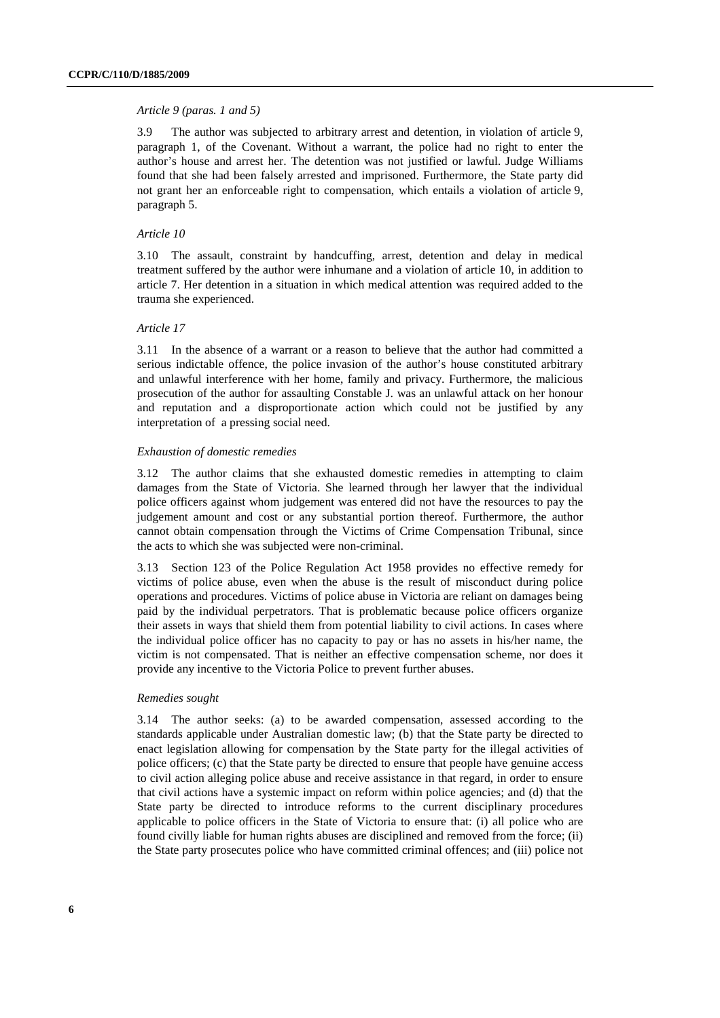#### *Article 9 (paras. 1 and 5)*

3.9 The author was subjected to arbitrary arrest and detention, in violation of article 9, paragraph 1, of the Covenant. Without a warrant, the police had no right to enter the author's house and arrest her. The detention was not justified or lawful. Judge Williams found that she had been falsely arrested and imprisoned. Furthermore, the State party did not grant her an enforceable right to compensation, which entails a violation of article 9, paragraph 5.

#### *Article 10*

3.10 The assault, constraint by handcuffing, arrest, detention and delay in medical treatment suffered by the author were inhumane and a violation of article 10, in addition to article 7. Her detention in a situation in which medical attention was required added to the trauma she experienced.

#### *Article 17*

3.11 In the absence of a warrant or a reason to believe that the author had committed a serious indictable offence, the police invasion of the author's house constituted arbitrary and unlawful interference with her home, family and privacy. Furthermore, the malicious prosecution of the author for assaulting Constable J. was an unlawful attack on her honour and reputation and a disproportionate action which could not be justified by any interpretation of a pressing social need.

#### *Exhaustion of domestic remedies*

3.12 The author claims that she exhausted domestic remedies in attempting to claim damages from the State of Victoria. She learned through her lawyer that the individual police officers against whom judgement was entered did not have the resources to pay the judgement amount and cost or any substantial portion thereof. Furthermore, the author cannot obtain compensation through the Victims of Crime Compensation Tribunal, since the acts to which she was subjected were non-criminal.

3.13 Section 123 of the Police Regulation Act 1958 provides no effective remedy for victims of police abuse, even when the abuse is the result of misconduct during police operations and procedures. Victims of police abuse in Victoria are reliant on damages being paid by the individual perpetrators. That is problematic because police officers organize their assets in ways that shield them from potential liability to civil actions. In cases where the individual police officer has no capacity to pay or has no assets in his/her name, the victim is not compensated. That is neither an effective compensation scheme, nor does it provide any incentive to the Victoria Police to prevent further abuses.

#### *Remedies sought*

3.14 The author seeks: (a) to be awarded compensation, assessed according to the standards applicable under Australian domestic law; (b) that the State party be directed to enact legislation allowing for compensation by the State party for the illegal activities of police officers; (c) that the State party be directed to ensure that people have genuine access to civil action alleging police abuse and receive assistance in that regard, in order to ensure that civil actions have a systemic impact on reform within police agencies; and (d) that the State party be directed to introduce reforms to the current disciplinary procedures applicable to police officers in the State of Victoria to ensure that: (i) all police who are found civilly liable for human rights abuses are disciplined and removed from the force; (ii) the State party prosecutes police who have committed criminal offences; and (iii) police not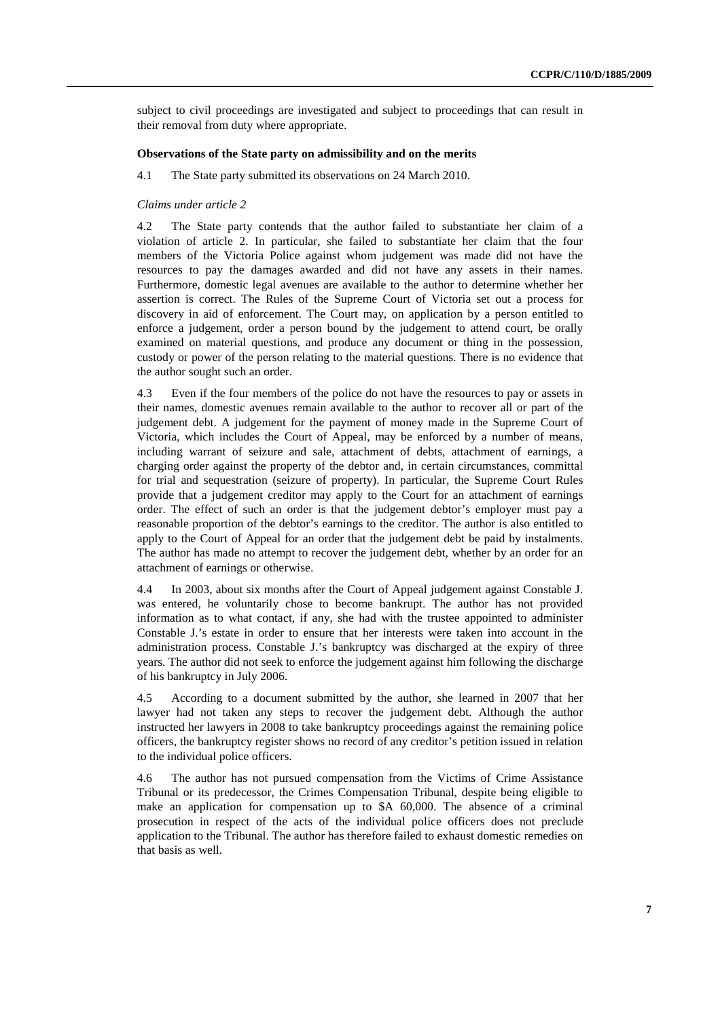subject to civil proceedings are investigated and subject to proceedings that can result in their removal from duty where appropriate.

#### **Observations of the State party on admissibility and on the merits**

4.1 The State party submitted its observations on 24 March 2010.

#### *Claims under article 2*

4.2 The State party contends that the author failed to substantiate her claim of a violation of article 2. In particular, she failed to substantiate her claim that the four members of the Victoria Police against whom judgement was made did not have the resources to pay the damages awarded and did not have any assets in their names. Furthermore, domestic legal avenues are available to the author to determine whether her assertion is correct. The Rules of the Supreme Court of Victoria set out a process for discovery in aid of enforcement. The Court may, on application by a person entitled to enforce a judgement, order a person bound by the judgement to attend court, be orally examined on material questions, and produce any document or thing in the possession, custody or power of the person relating to the material questions. There is no evidence that the author sought such an order.

4.3 Even if the four members of the police do not have the resources to pay or assets in their names, domestic avenues remain available to the author to recover all or part of the judgement debt. A judgement for the payment of money made in the Supreme Court of Victoria, which includes the Court of Appeal, may be enforced by a number of means, including warrant of seizure and sale, attachment of debts, attachment of earnings, a charging order against the property of the debtor and, in certain circumstances, committal for trial and sequestration (seizure of property). In particular, the Supreme Court Rules provide that a judgement creditor may apply to the Court for an attachment of earnings order. The effect of such an order is that the judgement debtor's employer must pay a reasonable proportion of the debtor's earnings to the creditor. The author is also entitled to apply to the Court of Appeal for an order that the judgement debt be paid by instalments. The author has made no attempt to recover the judgement debt, whether by an order for an attachment of earnings or otherwise.

4.4 In 2003, about six months after the Court of Appeal judgement against Constable J. was entered, he voluntarily chose to become bankrupt. The author has not provided information as to what contact, if any, she had with the trustee appointed to administer Constable J.'s estate in order to ensure that her interests were taken into account in the administration process. Constable J.'s bankruptcy was discharged at the expiry of three years. The author did not seek to enforce the judgement against him following the discharge of his bankruptcy in July 2006.

4.5 According to a document submitted by the author, she learned in 2007 that her lawyer had not taken any steps to recover the judgement debt. Although the author instructed her lawyers in 2008 to take bankruptcy proceedings against the remaining police officers, the bankruptcy register shows no record of any creditor's petition issued in relation to the individual police officers.

4.6 The author has not pursued compensation from the Victims of Crime Assistance Tribunal or its predecessor, the Crimes Compensation Tribunal, despite being eligible to make an application for compensation up to \$A 60,000. The absence of a criminal prosecution in respect of the acts of the individual police officers does not preclude application to the Tribunal. The author has therefore failed to exhaust domestic remedies on that basis as well.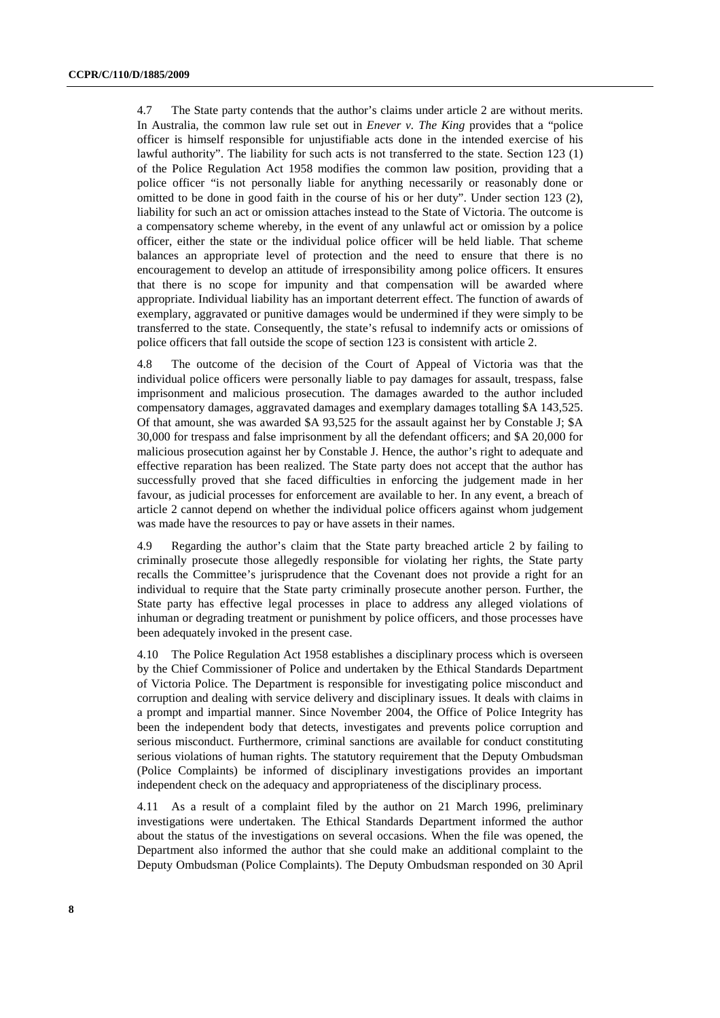4.7 The State party contends that the author's claims under article 2 are without merits. In Australia, the common law rule set out in *Enever v. The King* provides that a "police officer is himself responsible for unjustifiable acts done in the intended exercise of his lawful authority". The liability for such acts is not transferred to the state. Section 123 (1) of the Police Regulation Act 1958 modifies the common law position, providing that a police officer "is not personally liable for anything necessarily or reasonably done or omitted to be done in good faith in the course of his or her duty". Under section 123 (2), liability for such an act or omission attaches instead to the State of Victoria. The outcome is a compensatory scheme whereby, in the event of any unlawful act or omission by a police officer, either the state or the individual police officer will be held liable. That scheme balances an appropriate level of protection and the need to ensure that there is no encouragement to develop an attitude of irresponsibility among police officers. It ensures that there is no scope for impunity and that compensation will be awarded where appropriate. Individual liability has an important deterrent effect. The function of awards of exemplary, aggravated or punitive damages would be undermined if they were simply to be transferred to the state. Consequently, the state's refusal to indemnify acts or omissions of police officers that fall outside the scope of section 123 is consistent with article 2.

4.8 The outcome of the decision of the Court of Appeal of Victoria was that the individual police officers were personally liable to pay damages for assault, trespass, false imprisonment and malicious prosecution. The damages awarded to the author included compensatory damages, aggravated damages and exemplary damages totalling \$A 143,525. Of that amount, she was awarded \$A 93,525 for the assault against her by Constable J; \$A 30,000 for trespass and false imprisonment by all the defendant officers; and \$A 20,000 for malicious prosecution against her by Constable J. Hence, the author's right to adequate and effective reparation has been realized. The State party does not accept that the author has successfully proved that she faced difficulties in enforcing the judgement made in her favour, as judicial processes for enforcement are available to her. In any event, a breach of article 2 cannot depend on whether the individual police officers against whom judgement was made have the resources to pay or have assets in their names.

4.9 Regarding the author's claim that the State party breached article 2 by failing to criminally prosecute those allegedly responsible for violating her rights, the State party recalls the Committee's jurisprudence that the Covenant does not provide a right for an individual to require that the State party criminally prosecute another person. Further, the State party has effective legal processes in place to address any alleged violations of inhuman or degrading treatment or punishment by police officers, and those processes have been adequately invoked in the present case.

4.10 The Police Regulation Act 1958 establishes a disciplinary process which is overseen by the Chief Commissioner of Police and undertaken by the Ethical Standards Department of Victoria Police. The Department is responsible for investigating police misconduct and corruption and dealing with service delivery and disciplinary issues. It deals with claims in a prompt and impartial manner. Since November 2004, the Office of Police Integrity has been the independent body that detects, investigates and prevents police corruption and serious misconduct. Furthermore, criminal sanctions are available for conduct constituting serious violations of human rights. The statutory requirement that the Deputy Ombudsman (Police Complaints) be informed of disciplinary investigations provides an important independent check on the adequacy and appropriateness of the disciplinary process.

4.11 As a result of a complaint filed by the author on 21 March 1996, preliminary investigations were undertaken. The Ethical Standards Department informed the author about the status of the investigations on several occasions. When the file was opened, the Department also informed the author that she could make an additional complaint to the Deputy Ombudsman (Police Complaints). The Deputy Ombudsman responded on 30 April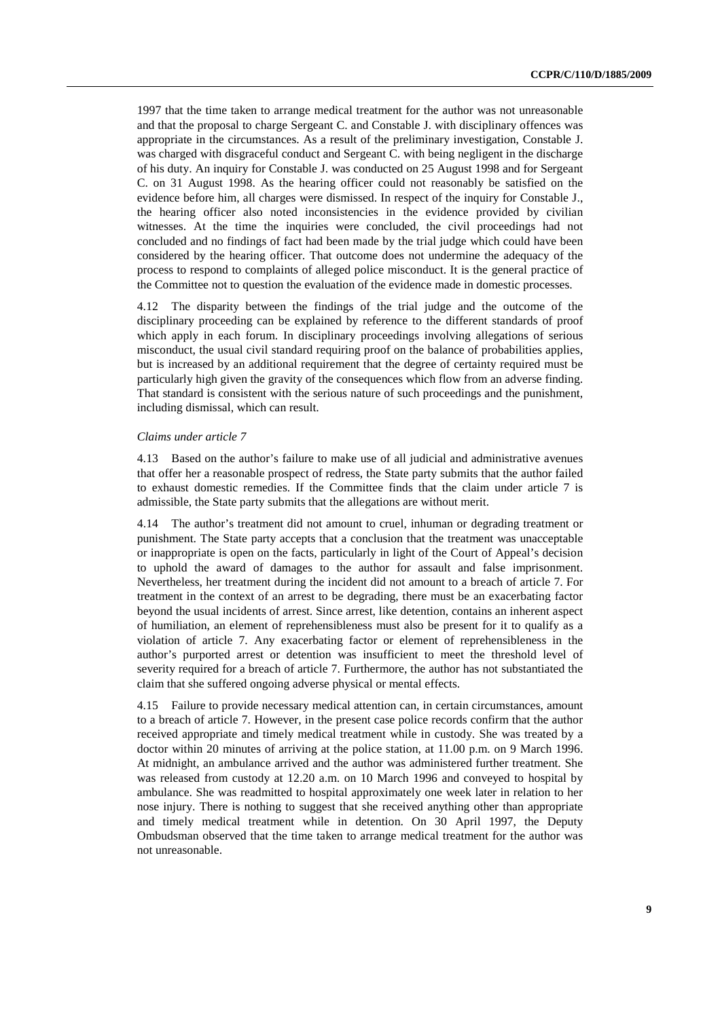1997 that the time taken to arrange medical treatment for the author was not unreasonable and that the proposal to charge Sergeant C. and Constable J. with disciplinary offences was appropriate in the circumstances. As a result of the preliminary investigation, Constable J. was charged with disgraceful conduct and Sergeant C. with being negligent in the discharge of his duty. An inquiry for Constable J. was conducted on 25 August 1998 and for Sergeant C. on 31 August 1998. As the hearing officer could not reasonably be satisfied on the evidence before him, all charges were dismissed. In respect of the inquiry for Constable J., the hearing officer also noted inconsistencies in the evidence provided by civilian witnesses. At the time the inquiries were concluded, the civil proceedings had not concluded and no findings of fact had been made by the trial judge which could have been considered by the hearing officer. That outcome does not undermine the adequacy of the process to respond to complaints of alleged police misconduct. It is the general practice of the Committee not to question the evaluation of the evidence made in domestic processes.

4.12 The disparity between the findings of the trial judge and the outcome of the disciplinary proceeding can be explained by reference to the different standards of proof which apply in each forum. In disciplinary proceedings involving allegations of serious misconduct, the usual civil standard requiring proof on the balance of probabilities applies, but is increased by an additional requirement that the degree of certainty required must be particularly high given the gravity of the consequences which flow from an adverse finding. That standard is consistent with the serious nature of such proceedings and the punishment, including dismissal, which can result.

#### *Claims under article 7*

4.13 Based on the author's failure to make use of all judicial and administrative avenues that offer her a reasonable prospect of redress, the State party submits that the author failed to exhaust domestic remedies. If the Committee finds that the claim under article 7 is admissible, the State party submits that the allegations are without merit.

4.14 The author's treatment did not amount to cruel, inhuman or degrading treatment or punishment. The State party accepts that a conclusion that the treatment was unacceptable or inappropriate is open on the facts, particularly in light of the Court of Appeal's decision to uphold the award of damages to the author for assault and false imprisonment. Nevertheless, her treatment during the incident did not amount to a breach of article 7. For treatment in the context of an arrest to be degrading, there must be an exacerbating factor beyond the usual incidents of arrest. Since arrest, like detention, contains an inherent aspect of humiliation, an element of reprehensibleness must also be present for it to qualify as a violation of article 7. Any exacerbating factor or element of reprehensibleness in the author's purported arrest or detention was insufficient to meet the threshold level of severity required for a breach of article 7. Furthermore, the author has not substantiated the claim that she suffered ongoing adverse physical or mental effects.

4.15 Failure to provide necessary medical attention can, in certain circumstances, amount to a breach of article 7. However, in the present case police records confirm that the author received appropriate and timely medical treatment while in custody. She was treated by a doctor within 20 minutes of arriving at the police station, at 11.00 p.m. on 9 March 1996. At midnight, an ambulance arrived and the author was administered further treatment. She was released from custody at 12.20 a.m. on 10 March 1996 and conveyed to hospital by ambulance. She was readmitted to hospital approximately one week later in relation to her nose injury. There is nothing to suggest that she received anything other than appropriate and timely medical treatment while in detention. On 30 April 1997, the Deputy Ombudsman observed that the time taken to arrange medical treatment for the author was not unreasonable.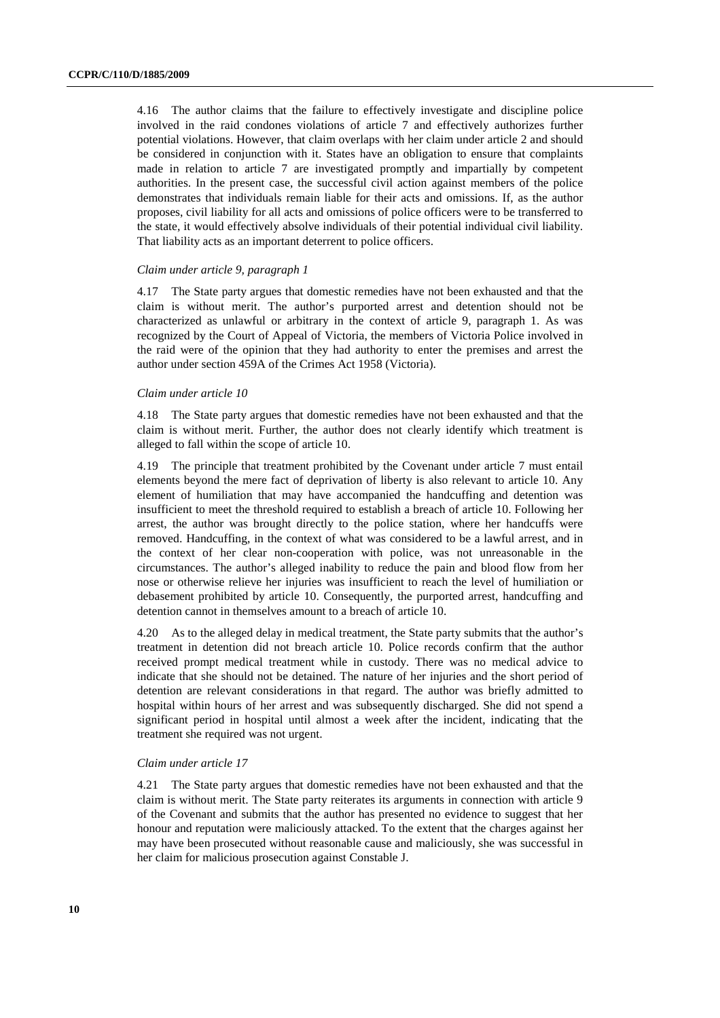4.16 The author claims that the failure to effectively investigate and discipline police involved in the raid condones violations of article 7 and effectively authorizes further potential violations. However, that claim overlaps with her claim under article 2 and should be considered in conjunction with it. States have an obligation to ensure that complaints made in relation to article 7 are investigated promptly and impartially by competent authorities. In the present case, the successful civil action against members of the police demonstrates that individuals remain liable for their acts and omissions. If, as the author proposes, civil liability for all acts and omissions of police officers were to be transferred to the state, it would effectively absolve individuals of their potential individual civil liability. That liability acts as an important deterrent to police officers.

#### *Claim under article 9, paragraph 1*

4.17 The State party argues that domestic remedies have not been exhausted and that the claim is without merit. The author's purported arrest and detention should not be characterized as unlawful or arbitrary in the context of article 9, paragraph 1. As was recognized by the Court of Appeal of Victoria, the members of Victoria Police involved in the raid were of the opinion that they had authority to enter the premises and arrest the author under section 459A of the Crimes Act 1958 (Victoria).

#### *Claim under article 10*

4.18 The State party argues that domestic remedies have not been exhausted and that the claim is without merit. Further, the author does not clearly identify which treatment is alleged to fall within the scope of article 10.

4.19 The principle that treatment prohibited by the Covenant under article 7 must entail elements beyond the mere fact of deprivation of liberty is also relevant to article 10. Any element of humiliation that may have accompanied the handcuffing and detention was insufficient to meet the threshold required to establish a breach of article 10. Following her arrest, the author was brought directly to the police station, where her handcuffs were removed. Handcuffing, in the context of what was considered to be a lawful arrest, and in the context of her clear non-cooperation with police, was not unreasonable in the circumstances. The author's alleged inability to reduce the pain and blood flow from her nose or otherwise relieve her injuries was insufficient to reach the level of humiliation or debasement prohibited by article 10. Consequently, the purported arrest, handcuffing and detention cannot in themselves amount to a breach of article 10.

4.20 As to the alleged delay in medical treatment, the State party submits that the author's treatment in detention did not breach article 10. Police records confirm that the author received prompt medical treatment while in custody. There was no medical advice to indicate that she should not be detained. The nature of her injuries and the short period of detention are relevant considerations in that regard. The author was briefly admitted to hospital within hours of her arrest and was subsequently discharged. She did not spend a significant period in hospital until almost a week after the incident, indicating that the treatment she required was not urgent.

#### *Claim under article 17*

4.21 The State party argues that domestic remedies have not been exhausted and that the claim is without merit. The State party reiterates its arguments in connection with article 9 of the Covenant and submits that the author has presented no evidence to suggest that her honour and reputation were maliciously attacked. To the extent that the charges against her may have been prosecuted without reasonable cause and maliciously, she was successful in her claim for malicious prosecution against Constable J.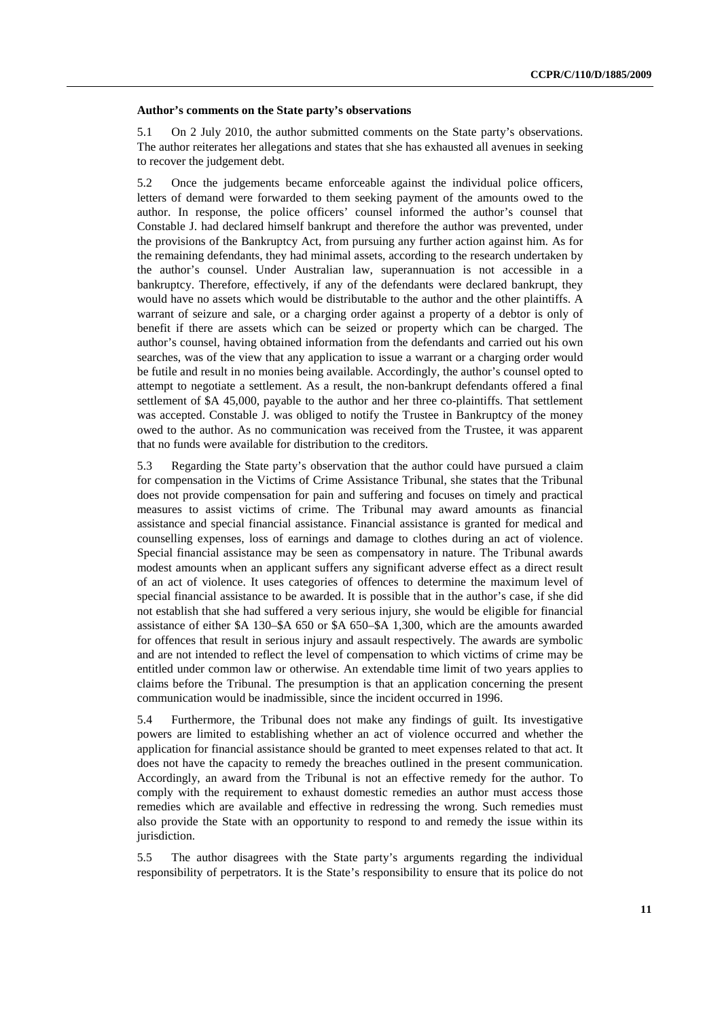#### **Author's comments on the State party's observations**

5.1 On 2 July 2010, the author submitted comments on the State party's observations. The author reiterates her allegations and states that she has exhausted all avenues in seeking to recover the judgement debt.

5.2 Once the judgements became enforceable against the individual police officers, letters of demand were forwarded to them seeking payment of the amounts owed to the author. In response, the police officers' counsel informed the author's counsel that Constable J. had declared himself bankrupt and therefore the author was prevented, under the provisions of the Bankruptcy Act, from pursuing any further action against him. As for the remaining defendants, they had minimal assets, according to the research undertaken by the author's counsel. Under Australian law, superannuation is not accessible in a bankruptcy. Therefore, effectively, if any of the defendants were declared bankrupt, they would have no assets which would be distributable to the author and the other plaintiffs. A warrant of seizure and sale, or a charging order against a property of a debtor is only of benefit if there are assets which can be seized or property which can be charged. The author's counsel, having obtained information from the defendants and carried out his own searches, was of the view that any application to issue a warrant or a charging order would be futile and result in no monies being available. Accordingly, the author's counsel opted to attempt to negotiate a settlement. As a result, the non-bankrupt defendants offered a final settlement of \$A 45,000, payable to the author and her three co-plaintiffs. That settlement was accepted. Constable J. was obliged to notify the Trustee in Bankruptcy of the money owed to the author. As no communication was received from the Trustee, it was apparent that no funds were available for distribution to the creditors.

5.3 Regarding the State party's observation that the author could have pursued a claim for compensation in the Victims of Crime Assistance Tribunal, she states that the Tribunal does not provide compensation for pain and suffering and focuses on timely and practical measures to assist victims of crime. The Tribunal may award amounts as financial assistance and special financial assistance. Financial assistance is granted for medical and counselling expenses, loss of earnings and damage to clothes during an act of violence. Special financial assistance may be seen as compensatory in nature. The Tribunal awards modest amounts when an applicant suffers any significant adverse effect as a direct result of an act of violence. It uses categories of offences to determine the maximum level of special financial assistance to be awarded. It is possible that in the author's case, if she did not establish that she had suffered a very serious injury, she would be eligible for financial assistance of either \$A 130–\$A 650 or \$A 650–\$A 1,300, which are the amounts awarded for offences that result in serious injury and assault respectively. The awards are symbolic and are not intended to reflect the level of compensation to which victims of crime may be entitled under common law or otherwise. An extendable time limit of two years applies to claims before the Tribunal. The presumption is that an application concerning the present communication would be inadmissible, since the incident occurred in 1996.

5.4 Furthermore, the Tribunal does not make any findings of guilt. Its investigative powers are limited to establishing whether an act of violence occurred and whether the application for financial assistance should be granted to meet expenses related to that act. It does not have the capacity to remedy the breaches outlined in the present communication. Accordingly, an award from the Tribunal is not an effective remedy for the author. To comply with the requirement to exhaust domestic remedies an author must access those remedies which are available and effective in redressing the wrong. Such remedies must also provide the State with an opportunity to respond to and remedy the issue within its jurisdiction.

5.5 The author disagrees with the State party's arguments regarding the individual responsibility of perpetrators. It is the State's responsibility to ensure that its police do not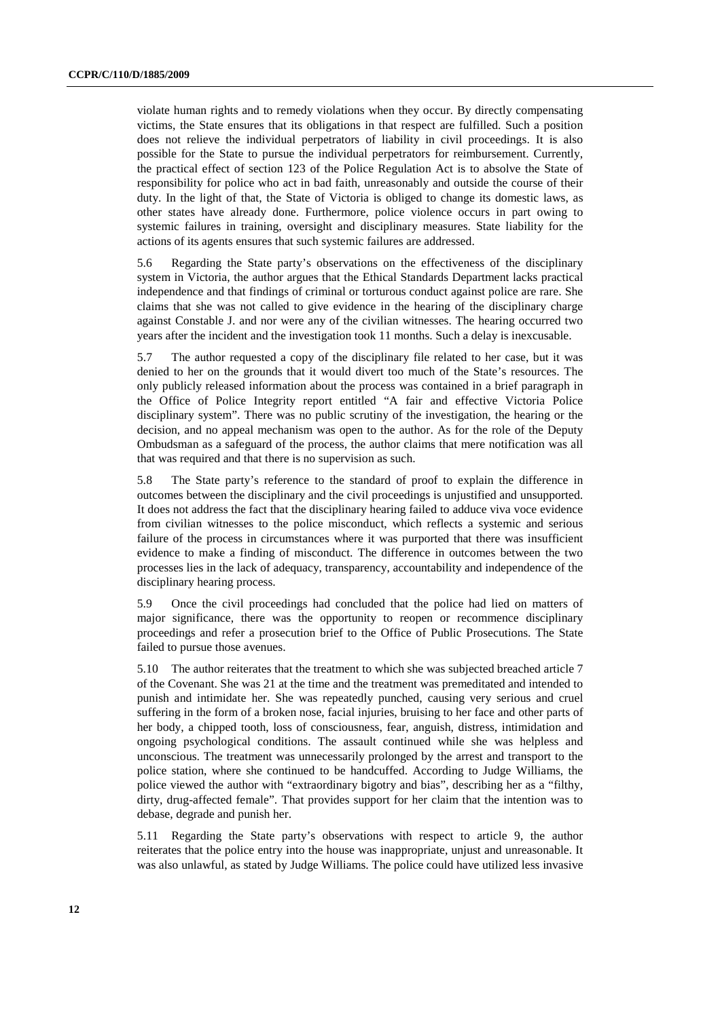violate human rights and to remedy violations when they occur. By directly compensating victims, the State ensures that its obligations in that respect are fulfilled. Such a position does not relieve the individual perpetrators of liability in civil proceedings. It is also possible for the State to pursue the individual perpetrators for reimbursement. Currently, the practical effect of section 123 of the Police Regulation Act is to absolve the State of responsibility for police who act in bad faith, unreasonably and outside the course of their duty. In the light of that, the State of Victoria is obliged to change its domestic laws, as other states have already done. Furthermore, police violence occurs in part owing to systemic failures in training, oversight and disciplinary measures. State liability for the actions of its agents ensures that such systemic failures are addressed.

5.6 Regarding the State party's observations on the effectiveness of the disciplinary system in Victoria, the author argues that the Ethical Standards Department lacks practical independence and that findings of criminal or torturous conduct against police are rare. She claims that she was not called to give evidence in the hearing of the disciplinary charge against Constable J. and nor were any of the civilian witnesses. The hearing occurred two years after the incident and the investigation took 11 months. Such a delay is inexcusable.

5.7 The author requested a copy of the disciplinary file related to her case, but it was denied to her on the grounds that it would divert too much of the State's resources. The only publicly released information about the process was contained in a brief paragraph in the Office of Police Integrity report entitled "A fair and effective Victoria Police disciplinary system". There was no public scrutiny of the investigation, the hearing or the decision, and no appeal mechanism was open to the author. As for the role of the Deputy Ombudsman as a safeguard of the process, the author claims that mere notification was all that was required and that there is no supervision as such.

5.8 The State party's reference to the standard of proof to explain the difference in outcomes between the disciplinary and the civil proceedings is unjustified and unsupported. It does not address the fact that the disciplinary hearing failed to adduce viva voce evidence from civilian witnesses to the police misconduct, which reflects a systemic and serious failure of the process in circumstances where it was purported that there was insufficient evidence to make a finding of misconduct. The difference in outcomes between the two processes lies in the lack of adequacy, transparency, accountability and independence of the disciplinary hearing process.

5.9 Once the civil proceedings had concluded that the police had lied on matters of major significance, there was the opportunity to reopen or recommence disciplinary proceedings and refer a prosecution brief to the Office of Public Prosecutions. The State failed to pursue those avenues.

5.10 The author reiterates that the treatment to which she was subjected breached article 7 of the Covenant. She was 21 at the time and the treatment was premeditated and intended to punish and intimidate her. She was repeatedly punched, causing very serious and cruel suffering in the form of a broken nose, facial injuries, bruising to her face and other parts of her body, a chipped tooth, loss of consciousness, fear, anguish, distress, intimidation and ongoing psychological conditions. The assault continued while she was helpless and unconscious. The treatment was unnecessarily prolonged by the arrest and transport to the police station, where she continued to be handcuffed. According to Judge Williams, the police viewed the author with "extraordinary bigotry and bias", describing her as a "filthy, dirty, drug-affected female". That provides support for her claim that the intention was to debase, degrade and punish her.

5.11 Regarding the State party's observations with respect to article 9, the author reiterates that the police entry into the house was inappropriate, unjust and unreasonable. It was also unlawful, as stated by Judge Williams. The police could have utilized less invasive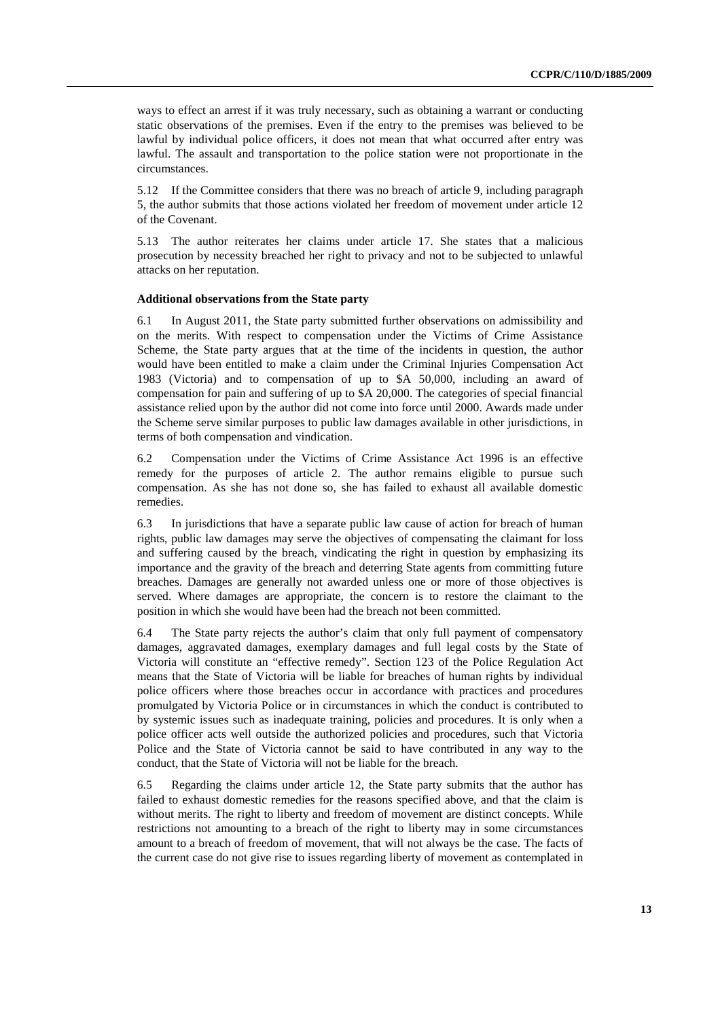ways to effect an arrest if it was truly necessary, such as obtaining a warrant or conducting static observations of the premises. Even if the entry to the premises was believed to be lawful by individual police officers, it does not mean that what occurred after entry was lawful. The assault and transportation to the police station were not proportionate in the circumstances.

5.12 If the Committee considers that there was no breach of article 9, including paragraph 5, the author submits that those actions violated her freedom of movement under article 12 of the Covenant.

5.13 The author reiterates her claims under article 17. She states that a malicious prosecution by necessity breached her right to privacy and not to be subjected to unlawful attacks on her reputation.

#### **Additional observations from the State party**

6.1 In August 2011, the State party submitted further observations on admissibility and on the merits. With respect to compensation under the Victims of Crime Assistance Scheme, the State party argues that at the time of the incidents in question, the author would have been entitled to make a claim under the Criminal Injuries Compensation Act 1983 (Victoria) and to compensation of up to \$A 50,000, including an award of compensation for pain and suffering of up to \$A 20,000. The categories of special financial assistance relied upon by the author did not come into force until 2000. Awards made under the Scheme serve similar purposes to public law damages available in other jurisdictions, in terms of both compensation and vindication.

6.2 Compensation under the Victims of Crime Assistance Act 1996 is an effective remedy for the purposes of article 2. The author remains eligible to pursue such compensation. As she has not done so, she has failed to exhaust all available domestic remedies.

6.3 In jurisdictions that have a separate public law cause of action for breach of human rights, public law damages may serve the objectives of compensating the claimant for loss and suffering caused by the breach, vindicating the right in question by emphasizing its importance and the gravity of the breach and deterring State agents from committing future breaches. Damages are generally not awarded unless one or more of those objectives is served. Where damages are appropriate, the concern is to restore the claimant to the position in which she would have been had the breach not been committed.

6.4 The State party rejects the author's claim that only full payment of compensatory damages, aggravated damages, exemplary damages and full legal costs by the State of Victoria will constitute an "effective remedy". Section 123 of the Police Regulation Act means that the State of Victoria will be liable for breaches of human rights by individual police officers where those breaches occur in accordance with practices and procedures promulgated by Victoria Police or in circumstances in which the conduct is contributed to by systemic issues such as inadequate training, policies and procedures. It is only when a police officer acts well outside the authorized policies and procedures, such that Victoria Police and the State of Victoria cannot be said to have contributed in any way to the conduct, that the State of Victoria will not be liable for the breach.

6.5 Regarding the claims under article 12, the State party submits that the author has failed to exhaust domestic remedies for the reasons specified above, and that the claim is without merits. The right to liberty and freedom of movement are distinct concepts. While restrictions not amounting to a breach of the right to liberty may in some circumstances amount to a breach of freedom of movement, that will not always be the case. The facts of the current case do not give rise to issues regarding liberty of movement as contemplated in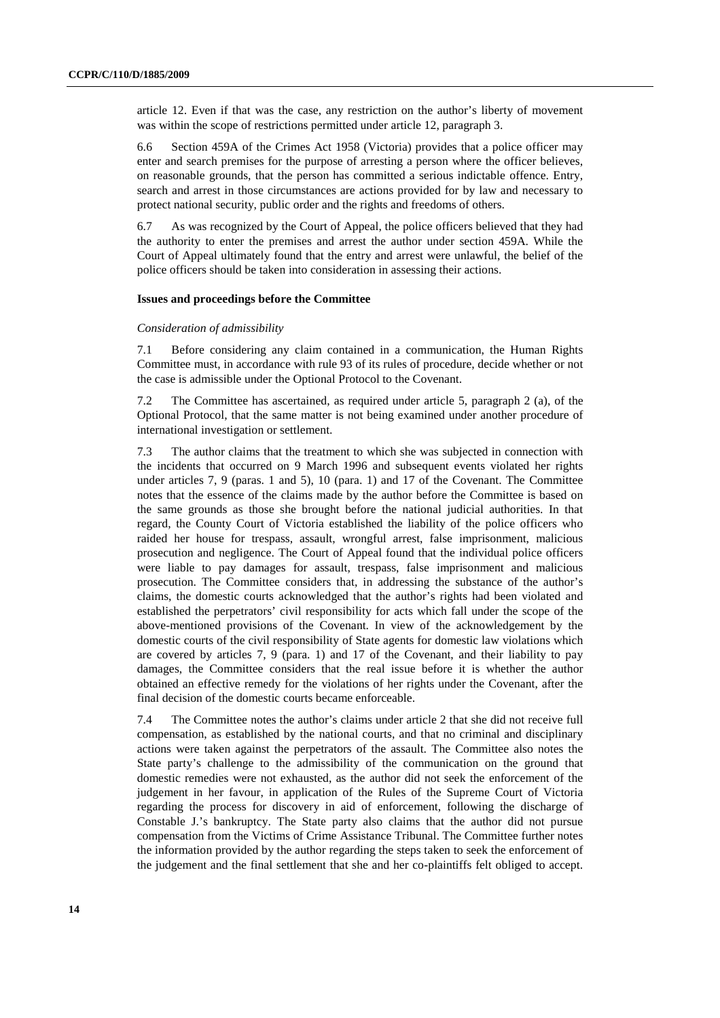article 12. Even if that was the case, any restriction on the author's liberty of movement was within the scope of restrictions permitted under article 12, paragraph 3.

6.6 Section 459A of the Crimes Act 1958 (Victoria) provides that a police officer may enter and search premises for the purpose of arresting a person where the officer believes, on reasonable grounds, that the person has committed a serious indictable offence. Entry, search and arrest in those circumstances are actions provided for by law and necessary to protect national security, public order and the rights and freedoms of others.

6.7 As was recognized by the Court of Appeal, the police officers believed that they had the authority to enter the premises and arrest the author under section 459A. While the Court of Appeal ultimately found that the entry and arrest were unlawful, the belief of the police officers should be taken into consideration in assessing their actions.

#### **Issues and proceedings before the Committee**

#### *Consideration of admissibility*

7.1 Before considering any claim contained in a communication, the Human Rights Committee must, in accordance with rule 93 of its rules of procedure, decide whether or not the case is admissible under the Optional Protocol to the Covenant.

The Committee has ascertained, as required under article 5, paragraph 2 (a), of the Optional Protocol, that the same matter is not being examined under another procedure of international investigation or settlement.

7.3 The author claims that the treatment to which she was subjected in connection with the incidents that occurred on 9 March 1996 and subsequent events violated her rights under articles 7, 9 (paras. 1 and 5), 10 (para. 1) and 17 of the Covenant. The Committee notes that the essence of the claims made by the author before the Committee is based on the same grounds as those she brought before the national judicial authorities. In that regard, the County Court of Victoria established the liability of the police officers who raided her house for trespass, assault, wrongful arrest, false imprisonment, malicious prosecution and negligence. The Court of Appeal found that the individual police officers were liable to pay damages for assault, trespass, false imprisonment and malicious prosecution. The Committee considers that, in addressing the substance of the author's claims, the domestic courts acknowledged that the author's rights had been violated and established the perpetrators' civil responsibility for acts which fall under the scope of the above-mentioned provisions of the Covenant. In view of the acknowledgement by the domestic courts of the civil responsibility of State agents for domestic law violations which are covered by articles 7, 9 (para. 1) and 17 of the Covenant, and their liability to pay damages, the Committee considers that the real issue before it is whether the author obtained an effective remedy for the violations of her rights under the Covenant, after the final decision of the domestic courts became enforceable.

7.4 The Committee notes the author's claims under article 2 that she did not receive full compensation, as established by the national courts, and that no criminal and disciplinary actions were taken against the perpetrators of the assault. The Committee also notes the State party's challenge to the admissibility of the communication on the ground that domestic remedies were not exhausted, as the author did not seek the enforcement of the judgement in her favour, in application of the Rules of the Supreme Court of Victoria regarding the process for discovery in aid of enforcement, following the discharge of Constable J.'s bankruptcy. The State party also claims that the author did not pursue compensation from the Victims of Crime Assistance Tribunal. The Committee further notes the information provided by the author regarding the steps taken to seek the enforcement of the judgement and the final settlement that she and her co-plaintiffs felt obliged to accept.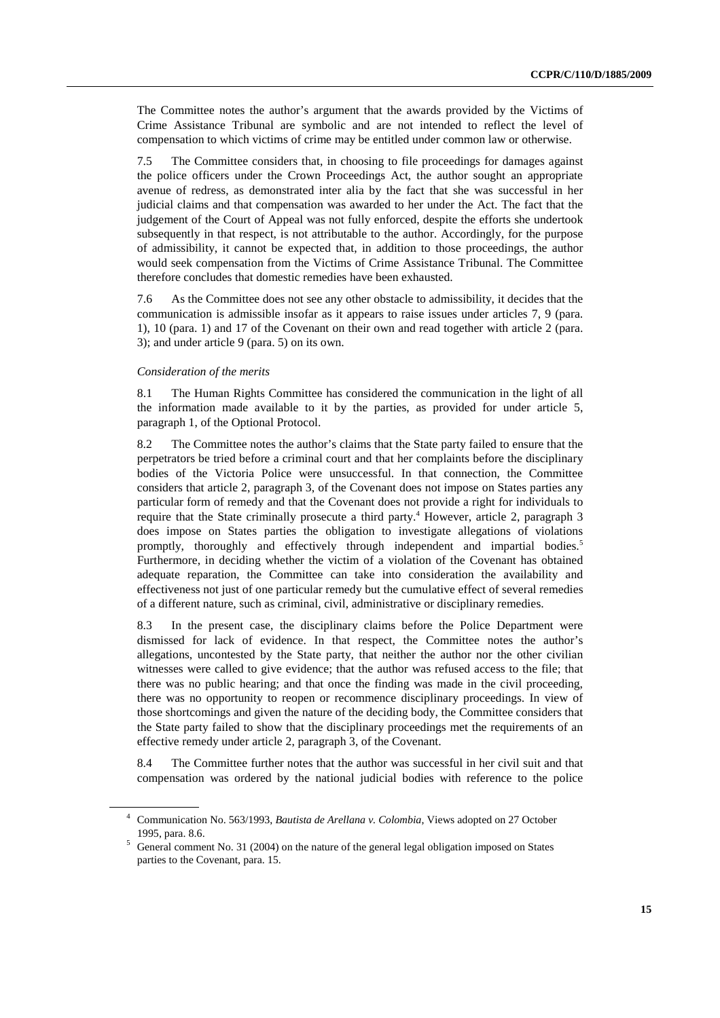The Committee notes the author's argument that the awards provided by the Victims of Crime Assistance Tribunal are symbolic and are not intended to reflect the level of compensation to which victims of crime may be entitled under common law or otherwise.

7.5 The Committee considers that, in choosing to file proceedings for damages against the police officers under the Crown Proceedings Act, the author sought an appropriate avenue of redress, as demonstrated inter alia by the fact that she was successful in her judicial claims and that compensation was awarded to her under the Act. The fact that the judgement of the Court of Appeal was not fully enforced, despite the efforts she undertook subsequently in that respect, is not attributable to the author. Accordingly, for the purpose of admissibility, it cannot be expected that, in addition to those proceedings, the author would seek compensation from the Victims of Crime Assistance Tribunal. The Committee therefore concludes that domestic remedies have been exhausted.

7.6 As the Committee does not see any other obstacle to admissibility, it decides that the communication is admissible insofar as it appears to raise issues under articles 7, 9 (para. 1), 10 (para. 1) and 17 of the Covenant on their own and read together with article 2 (para. 3); and under article 9 (para. 5) on its own.

#### *Consideration of the merits*

8.1 The Human Rights Committee has considered the communication in the light of all the information made available to it by the parties, as provided for under article 5, paragraph 1, of the Optional Protocol.

8.2 The Committee notes the author's claims that the State party failed to ensure that the perpetrators be tried before a criminal court and that her complaints before the disciplinary bodies of the Victoria Police were unsuccessful. In that connection, the Committee considers that article 2, paragraph 3, of the Covenant does not impose on States parties any particular form of remedy and that the Covenant does not provide a right for individuals to require that the State criminally prosecute a third party.<sup>4</sup> However, article 2, paragraph 3 does impose on States parties the obligation to investigate allegations of violations promptly, thoroughly and effectively through independent and impartial bodies.<sup>5</sup> Furthermore, in deciding whether the victim of a violation of the Covenant has obtained adequate reparation, the Committee can take into consideration the availability and effectiveness not just of one particular remedy but the cumulative effect of several remedies of a different nature, such as criminal, civil, administrative or disciplinary remedies.

8.3 In the present case, the disciplinary claims before the Police Department were dismissed for lack of evidence. In that respect, the Committee notes the author's allegations, uncontested by the State party, that neither the author nor the other civilian witnesses were called to give evidence; that the author was refused access to the file; that there was no public hearing; and that once the finding was made in the civil proceeding, there was no opportunity to reopen or recommence disciplinary proceedings. In view of those shortcomings and given the nature of the deciding body, the Committee considers that the State party failed to show that the disciplinary proceedings met the requirements of an effective remedy under article 2, paragraph 3, of the Covenant.

8.4 The Committee further notes that the author was successful in her civil suit and that compensation was ordered by the national judicial bodies with reference to the police

<sup>4</sup> Communication No. 563/1993, *Bautista de Arellana v. Colombia*, Views adopted on 27 October 1995, para. 8.6.  $\frac{1}{5}$  General comment No. 31 (2004) on the nature of the general legal obligation imposed on States

parties to the Covenant, para. 15.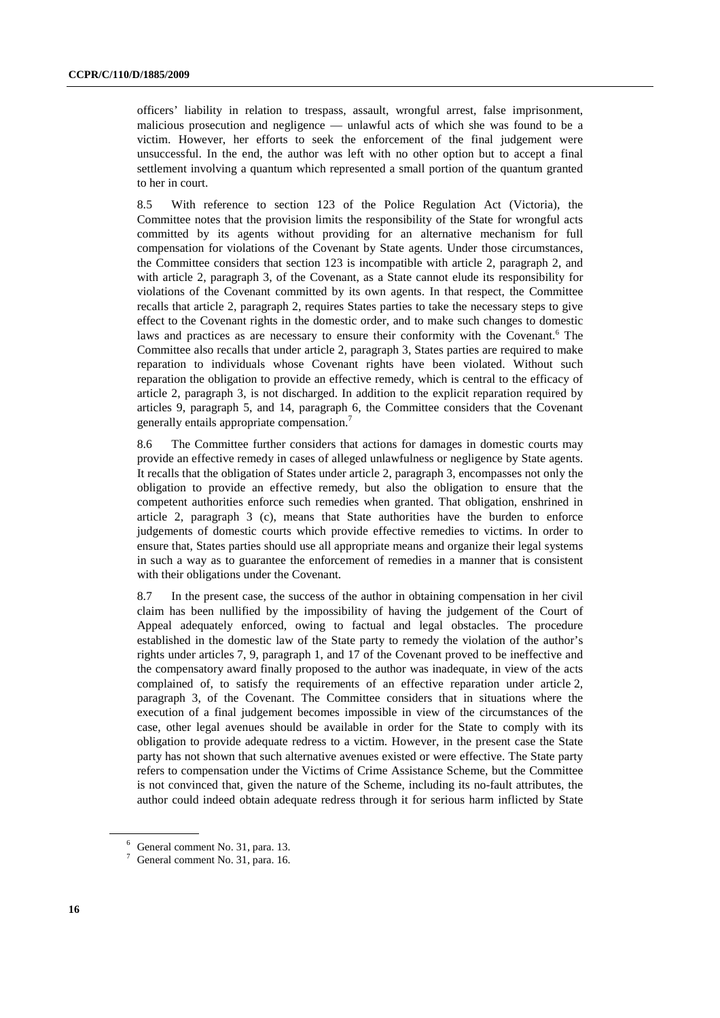officers' liability in relation to trespass, assault, wrongful arrest, false imprisonment, malicious prosecution and negligence — unlawful acts of which she was found to be a victim. However, her efforts to seek the enforcement of the final judgement were unsuccessful. In the end, the author was left with no other option but to accept a final settlement involving a quantum which represented a small portion of the quantum granted to her in court.

8.5 With reference to section 123 of the Police Regulation Act (Victoria), the Committee notes that the provision limits the responsibility of the State for wrongful acts committed by its agents without providing for an alternative mechanism for full compensation for violations of the Covenant by State agents. Under those circumstances, the Committee considers that section 123 is incompatible with article 2, paragraph 2, and with article 2, paragraph 3, of the Covenant, as a State cannot elude its responsibility for violations of the Covenant committed by its own agents. In that respect, the Committee recalls that article 2, paragraph 2, requires States parties to take the necessary steps to give effect to the Covenant rights in the domestic order, and to make such changes to domestic laws and practices as are necessary to ensure their conformity with the Covenant.<sup>6</sup> The Committee also recalls that under article 2, paragraph 3, States parties are required to make reparation to individuals whose Covenant rights have been violated. Without such reparation the obligation to provide an effective remedy, which is central to the efficacy of article 2, paragraph 3, is not discharged. In addition to the explicit reparation required by articles 9, paragraph 5, and 14, paragraph 6, the Committee considers that the Covenant generally entails appropriate compensation.<sup>7</sup>

8.6 The Committee further considers that actions for damages in domestic courts may provide an effective remedy in cases of alleged unlawfulness or negligence by State agents. It recalls that the obligation of States under article 2, paragraph 3, encompasses not only the obligation to provide an effective remedy, but also the obligation to ensure that the competent authorities enforce such remedies when granted. That obligation, enshrined in article 2, paragraph 3 (c), means that State authorities have the burden to enforce judgements of domestic courts which provide effective remedies to victims. In order to ensure that, States parties should use all appropriate means and organize their legal systems in such a way as to guarantee the enforcement of remedies in a manner that is consistent with their obligations under the Covenant.

8.7 In the present case, the success of the author in obtaining compensation in her civil claim has been nullified by the impossibility of having the judgement of the Court of Appeal adequately enforced, owing to factual and legal obstacles. The procedure established in the domestic law of the State party to remedy the violation of the author's rights under articles 7, 9, paragraph 1, and 17 of the Covenant proved to be ineffective and the compensatory award finally proposed to the author was inadequate, in view of the acts complained of, to satisfy the requirements of an effective reparation under article 2, paragraph 3, of the Covenant. The Committee considers that in situations where the execution of a final judgement becomes impossible in view of the circumstances of the case, other legal avenues should be available in order for the State to comply with its obligation to provide adequate redress to a victim. However, in the present case the State party has not shown that such alternative avenues existed or were effective. The State party refers to compensation under the Victims of Crime Assistance Scheme, but the Committee is not convinced that, given the nature of the Scheme, including its no-fault attributes, the author could indeed obtain adequate redress through it for serious harm inflicted by State

<sup>6</sup> General comment No. 31, para. 13.

 $7$  General comment No. 31, para. 16.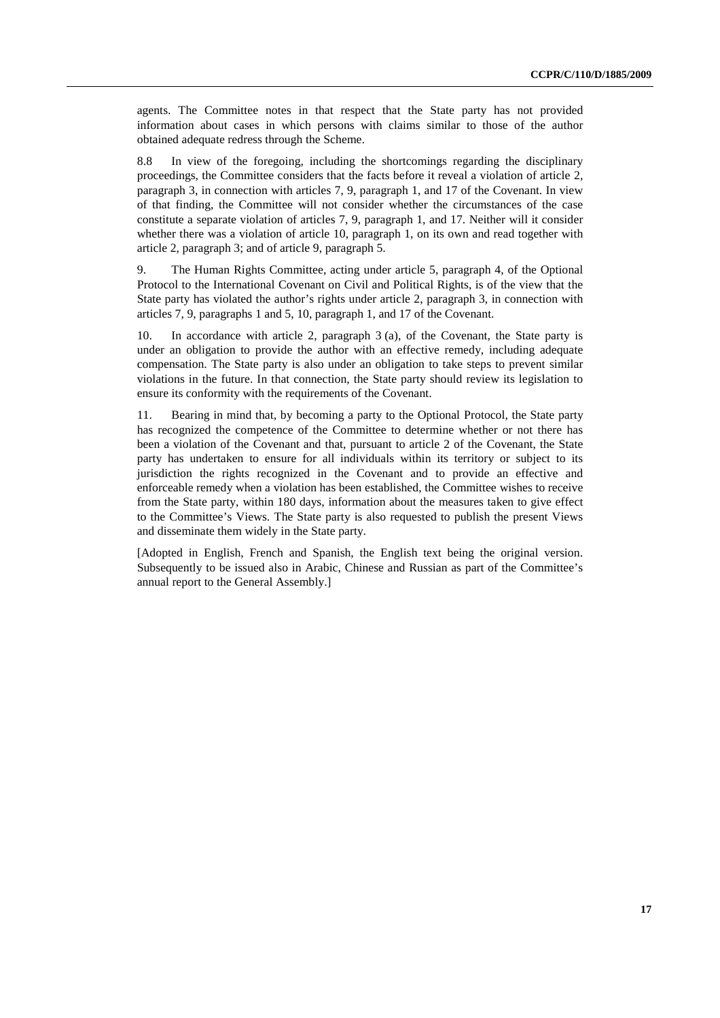agents. The Committee notes in that respect that the State party has not provided information about cases in which persons with claims similar to those of the author obtained adequate redress through the Scheme.

8.8 In view of the foregoing, including the shortcomings regarding the disciplinary proceedings, the Committee considers that the facts before it reveal a violation of article 2, paragraph 3, in connection with articles 7, 9, paragraph 1, and 17 of the Covenant. In view of that finding, the Committee will not consider whether the circumstances of the case constitute a separate violation of articles 7, 9, paragraph 1, and 17. Neither will it consider whether there was a violation of article 10, paragraph 1, on its own and read together with article 2, paragraph 3; and of article 9, paragraph 5.

9. The Human Rights Committee, acting under article 5, paragraph 4, of the Optional Protocol to the International Covenant on Civil and Political Rights, is of the view that the State party has violated the author's rights under article 2, paragraph 3, in connection with articles 7, 9, paragraphs 1 and 5, 10, paragraph 1, and 17 of the Covenant.

10. In accordance with article 2, paragraph 3 (a), of the Covenant, the State party is under an obligation to provide the author with an effective remedy, including adequate compensation. The State party is also under an obligation to take steps to prevent similar violations in the future. In that connection, the State party should review its legislation to ensure its conformity with the requirements of the Covenant.

11. Bearing in mind that, by becoming a party to the Optional Protocol, the State party has recognized the competence of the Committee to determine whether or not there has been a violation of the Covenant and that, pursuant to article 2 of the Covenant, the State party has undertaken to ensure for all individuals within its territory or subject to its jurisdiction the rights recognized in the Covenant and to provide an effective and enforceable remedy when a violation has been established, the Committee wishes to receive from the State party, within 180 days, information about the measures taken to give effect to the Committee's Views. The State party is also requested to publish the present Views and disseminate them widely in the State party.

[Adopted in English, French and Spanish, the English text being the original version. Subsequently to be issued also in Arabic, Chinese and Russian as part of the Committee's annual report to the General Assembly.]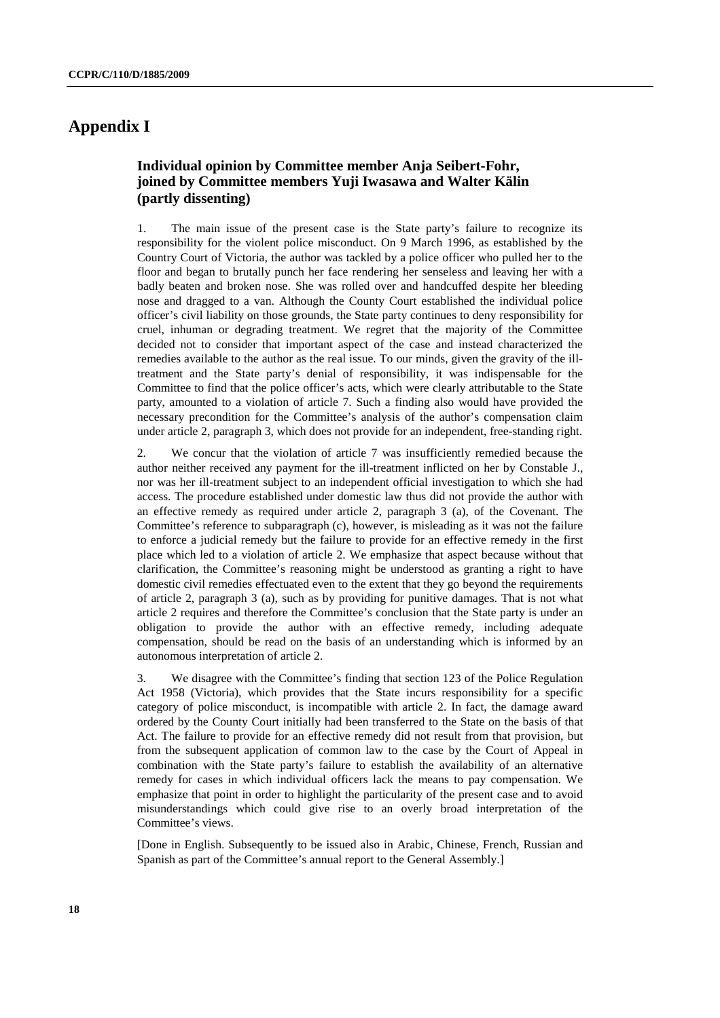## **Appendix I**

## **Individual opinion by Committee member Anja Seibert-Fohr, joined by Committee members Yuji Iwasawa and Walter Kälin (partly dissenting)**

1. The main issue of the present case is the State party's failure to recognize its responsibility for the violent police misconduct. On 9 March 1996, as established by the Country Court of Victoria, the author was tackled by a police officer who pulled her to the floor and began to brutally punch her face rendering her senseless and leaving her with a badly beaten and broken nose. She was rolled over and handcuffed despite her bleeding nose and dragged to a van. Although the County Court established the individual police officer's civil liability on those grounds, the State party continues to deny responsibility for cruel, inhuman or degrading treatment. We regret that the majority of the Committee decided not to consider that important aspect of the case and instead characterized the remedies available to the author as the real issue. To our minds, given the gravity of the illtreatment and the State party's denial of responsibility, it was indispensable for the Committee to find that the police officer's acts, which were clearly attributable to the State party, amounted to a violation of article 7. Such a finding also would have provided the necessary precondition for the Committee's analysis of the author's compensation claim under article 2, paragraph 3, which does not provide for an independent, free-standing right.

2. We concur that the violation of article 7 was insufficiently remedied because the author neither received any payment for the ill-treatment inflicted on her by Constable J., nor was her ill-treatment subject to an independent official investigation to which she had access. The procedure established under domestic law thus did not provide the author with an effective remedy as required under article 2, paragraph 3 (a), of the Covenant. The Committee's reference to subparagraph (c), however, is misleading as it was not the failure to enforce a judicial remedy but the failure to provide for an effective remedy in the first place which led to a violation of article 2. We emphasize that aspect because without that clarification, the Committee's reasoning might be understood as granting a right to have domestic civil remedies effectuated even to the extent that they go beyond the requirements of article 2, paragraph 3 (a), such as by providing for punitive damages. That is not what article 2 requires and therefore the Committee's conclusion that the State party is under an obligation to provide the author with an effective remedy, including adequate compensation, should be read on the basis of an understanding which is informed by an autonomous interpretation of article 2.

3. We disagree with the Committee's finding that section 123 of the Police Regulation Act 1958 (Victoria), which provides that the State incurs responsibility for a specific category of police misconduct, is incompatible with article 2. In fact, the damage award ordered by the County Court initially had been transferred to the State on the basis of that Act. The failure to provide for an effective remedy did not result from that provision, but from the subsequent application of common law to the case by the Court of Appeal in combination with the State party's failure to establish the availability of an alternative remedy for cases in which individual officers lack the means to pay compensation. We emphasize that point in order to highlight the particularity of the present case and to avoid misunderstandings which could give rise to an overly broad interpretation of the Committee's views.

[Done in English. Subsequently to be issued also in Arabic, Chinese, French, Russian and Spanish as part of the Committee's annual report to the General Assembly.]